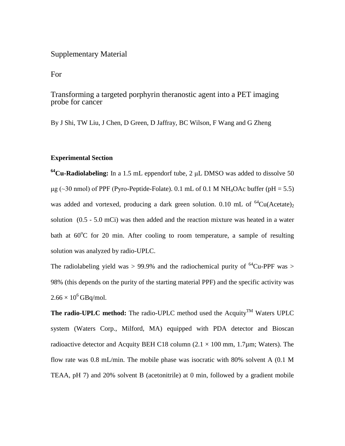## Supplementary Material

For

## Transforming a targeted porphyrin theranostic agent into a PET imaging probe for cancer

By J Shi, TW Liu, J Chen, D Green, D Jaffray, BC Wilson, F Wang and G Zheng

## **Experimental Section**

**<sup>64</sup>Cu-Radiolabeling:** In a 1.5 mL eppendorf tube, 2 μL DMSO was added to dissolve 50  $\mu$ g (~30 nmol) of PPF (Pyro-Peptide-Folate). 0.1 mL of 0.1 M NH<sub>4</sub>OAc buffer (pH = 5.5) was added and vortexed, producing a dark green solution. 0.10 mL of  $^{64}Cu(Aceta)$ solution (0.5 - 5.0 mCi) was then added and the reaction mixture was heated in a water bath at  $60^{\circ}$ C for 20 min. After cooling to room temperature, a sample of resulting solution was analyzed by radio-UPLC.

The radiolabeling yield was > 99.9% and the radiochemical purity of  ${}^{64}Cu$ -PPF was > 98% (this depends on the purity of the starting material PPF) and the specific activity was  $2.66 \times 10^6$  GBq/mol.

**The radio-UPLC method:** The radio-UPLC method used the Acquity<sup>TM</sup> Waters UPLC system (Waters Corp., Milford, MA) equipped with PDA detector and Bioscan radioactive detector and Acquity BEH C18 column ( $2.1 \times 100$  mm,  $1.7 \mu$ m; Waters). The flow rate was 0.8 mL/min. The mobile phase was isocratic with 80% solvent A (0.1 M TEAA, pH 7) and 20% solvent B (acetonitrile) at 0 min, followed by a gradient mobile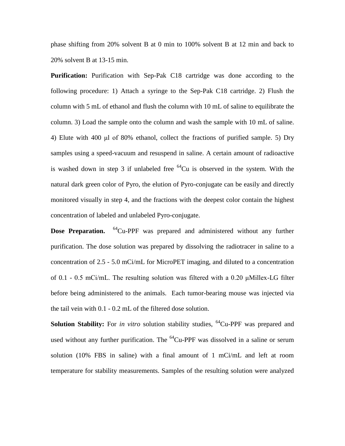phase shifting from 20% solvent B at 0 min to 100% solvent B at 12 min and back to 20% solvent B at 13-15 min.

**Purification:** Purification with Sep-Pak C18 cartridge was done according to the following procedure: 1) Attach a syringe to the Sep-Pak C18 cartridge. 2) Flush the column with 5 mL of ethanol and flush the column with 10 mL of saline to equilibrate the column. 3) Load the sample onto the column and wash the sample with 10 mL of saline. 4) Elute with 400 μl of 80% ethanol, collect the fractions of purified sample. 5) Dry samples using a speed-vacuum and resuspend in saline. A certain amount of radioactive is washed down in step 3 if unlabeled free  ${}^{64}Cu$  is observed in the system. With the natural dark green color of Pyro, the elution of Pyro-conjugate can be easily and directly monitored visually in step 4, and the fractions with the deepest color contain the highest concentration of labeled and unlabeled Pyro-conjugate.

**Dose Preparation.** <sup>64</sup>Cu-PPF was prepared and administered without any further purification. The dose solution was prepared by dissolving the radiotracer in saline to a concentration of 2.5 - 5.0 mCi/mL for MicroPET imaging, and diluted to a concentration of 0.1 - 0.5 mCi/mL. The resulting solution was filtered with a 0.20 μMillex-LG filter before being administered to the animals. Each tumor-bearing mouse was injected via the tail vein with 0.1 - 0.2 mL of the filtered dose solution.

**Solution Stability:** For *in vitro* solution stability studies, <sup>64</sup>Cu-PPF was prepared and used without any further purification. The  ${}^{64}$ Cu-PPF was dissolved in a saline or serum solution (10% FBS in saline) with a final amount of 1 mCi/mL and left at room temperature for stability measurements. Samples of the resulting solution were analyzed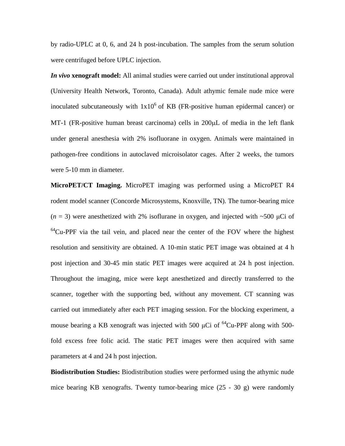by radio-UPLC at 0, 6, and 24 h post-incubation. The samples from the serum solution were centrifuged before UPLC injection.

*In vivo* **xenograft model:** All animal studies were carried out under institutional approval (University Health Network, Toronto, Canada). Adult athymic female nude mice were inoculated subcutaneously with  $1x10^6$  of KB (FR-positive human epidermal cancer) or MT-1 (FR-positive human breast carcinoma) cells in 200µL of media in the left flank under general anesthesia with 2% isofluorane in oxygen. Animals were maintained in pathogen-free conditions in autoclaved microisolator cages. After 2 weeks, the tumors were 5-10 mm in diameter.

**MicroPET/CT Imaging.** MicroPET imaging was performed using a MicroPET R4 rodent model scanner (Concorde Microsystems, Knoxville, TN). The tumor-bearing mice  $(n = 3)$  were anesthetized with 2% isoflurane in oxygen, and injected with  $\sim 500 \mu$ Ci of  $64$ Cu-PPF via the tail vein, and placed near the center of the FOV where the highest resolution and sensitivity are obtained. A 10-min static PET image was obtained at 4 h post injection and 30-45 min static PET images were acquired at 24 h post injection. Throughout the imaging, mice were kept anesthetized and directly transferred to the scanner, together with the supporting bed, without any movement. CT scanning was carried out immediately after each PET imaging session. For the blocking experiment, a mouse bearing a KB xenograft was injected with 500  $\mu$ Ci of <sup>64</sup>Cu-PPF along with 500fold excess free folic acid. The static PET images were then acquired with same parameters at 4 and 24 h post injection.

**Biodistribution Studies:** Biodistribution studies were performed using the athymic nude mice bearing KB xenografts. Twenty tumor-bearing mice (25 - 30 g) were randomly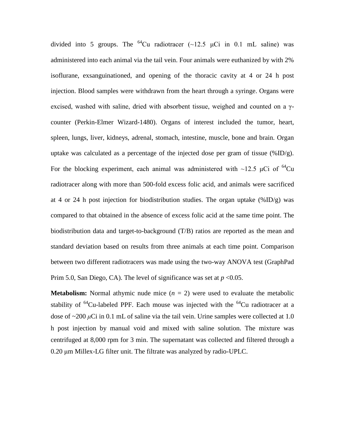divided into 5 groups. The <sup>64</sup>Cu radiotracer (~12.5  $\mu$ Ci in 0.1 mL saline) was administered into each animal via the tail vein. Four animals were euthanized by with 2% isoflurane, exsanguinationed, and opening of the thoracic cavity at 4 or 24 h post injection. Blood samples were withdrawn from the heart through a syringe. Organs were excised, washed with saline, dried with absorbent tissue, weighed and counted on a  $\gamma$ counter (Perkin-Elmer Wizard-1480). Organs of interest included the tumor, heart, spleen, lungs, liver, kidneys, adrenal, stomach, intestine, muscle, bone and brain. Organ uptake was calculated as a percentage of the injected dose per gram of tissue  $(\%ID/g)$ . For the blocking experiment, each animal was administered with ~12.5 µCi of  $^{64}$ Cu radiotracer along with more than 500-fold excess folic acid, and animals were sacrificed at 4 or 24 h post injection for biodistribution studies. The organ uptake  $(\%ID/g)$  was compared to that obtained in the absence of excess folic acid at the same time point. The biodistribution data and target-to-background (T/B) ratios are reported as the mean and standard deviation based on results from three animals at each time point. Comparison between two different radiotracers was made using the two-way ANOVA test (GraphPad Prim 5.0, San Diego, CA). The level of significance was set at  $p < 0.05$ .

**Metabolism:** Normal athymic nude mice  $(n = 2)$  were used to evaluate the metabolic stability of  ${}^{64}$ Cu-labeled PPF. Each mouse was injected with the  ${}^{64}$ Cu radiotracer at a dose of ~200 *μ*Ci in 0.1 mL of saline via the tail vein. Urine samples were collected at 1.0 h post injection by manual void and mixed with saline solution. The mixture was centrifuged at 8,000 rpm for 3 min. The supernatant was collected and filtered through a 0.20 μm Millex-LG filter unit. The filtrate was analyzed by radio-UPLC.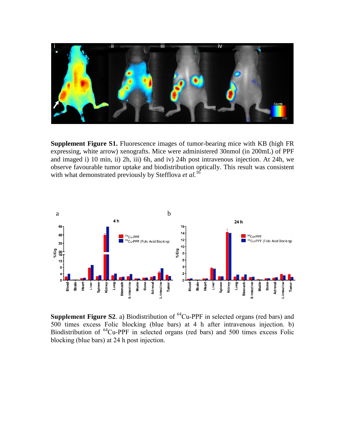

**Supplement Figure S1.** Fluorescence images of tumor-bearing mice with KB (high FR expressing, white arrow) xenografts. Mice were administered 30nmol (in 200mL) of PPF and imaged i) 10 min, ii) 2h, iii) 6h, and iv) 24h post intravenous injection. At 24h, we observe favourable tumor uptake and biodistribution optically. This result was consistent with what demonstrated previously by Stefflova *et al.*<sup>16</sup>



**Supplement Figure S2.** a) Biodistribution of  ${}^{64}$ Cu-PPF in selected organs (red bars) and 500 times excess Folic blocking (blue bars) at 4 h after intravenous injection. b) Biodistribution of <sup>64</sup>Cu-PPF in selected organs (red bars) and 500 times excess Folic blocking (blue bars) at 24 h post injection.